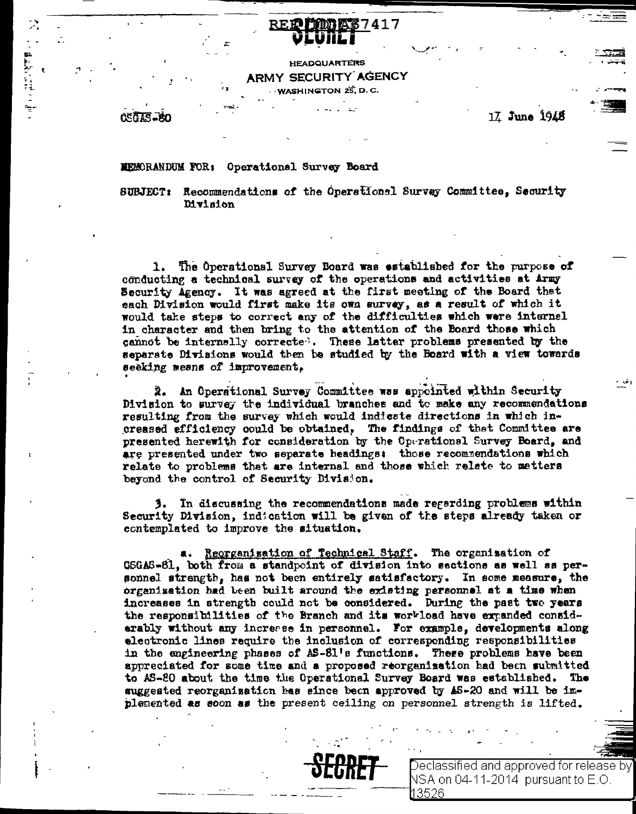## REI**PINDRA**67417

**HEADQUARTERS** 

ARMY SECURITY AGENCY

WASHINGTON 25, D.C.

CEGAS - BO

الأماران المتابين الأخذاة

17. June 1948

ر تي ۔

## MEMORANDUM FOR: Operational Survey Board

SUBJECT: Recommendations of the Operational Survey Committee. Security Myision

The Operational Survey Board was established for the purpose of  $\mathbf{1}$ . conducting a technical survey of the operations and activities at Army Security Agency. It was agreed at the first meeting of the Board that each Division would first make its own survey, as a result of which it would take steps to correct any of the difficulties which were internel in character and then bring to the attention of the Board those which cannot be internally corrected. These latter problems presented by the separate Divisions would then be studied by the Board with a view towards seeking means of improvement,

2. An Operational Survey Committee was appointed within Security Division to survey the individual branches and to make any recommendations resulting from the survey which would indicate directions in which increased efficiency could be obtained, The findings of that Committee are presented herewith for consideration by the Operational Survey Board, and are presented under two separate headings: those recommendations which relate to problems that are internal and those which relate to matters beyond the control of Security Division.

In discussing the recommendations made regarding problems within 3. Security Division, indication will be given of the steps already taken or contemplated to improve the situation.

a. Regrganization of Technical Staff. The organization of CSGAS-81, both from a standpoint of division into sections as well as personnel strength, has not been entirely satisfactory. In some measure, the organization had been built around the existing personnel at a time when increases in strength could not be considered. During the past two years the responsibilities of the Branch and its workload have expanded considerably without any increase in personnel. For example, developments along electronic lines require the inclusion of corresponding responsibilities in the engineering phases of AS-81's functions. These problems have been appreciated for some time and a proposed reorganisation had been submitted to AS-80 about the time the Operational Survey Board was established. The suggested reorganisation has since been approved by  $\angle 20$  and will be implemented as soon as the present ceiling on personnel strength is lifted.



Declassified and approved for release by NSA on 04-11-2014 pursuant to E.O. 3526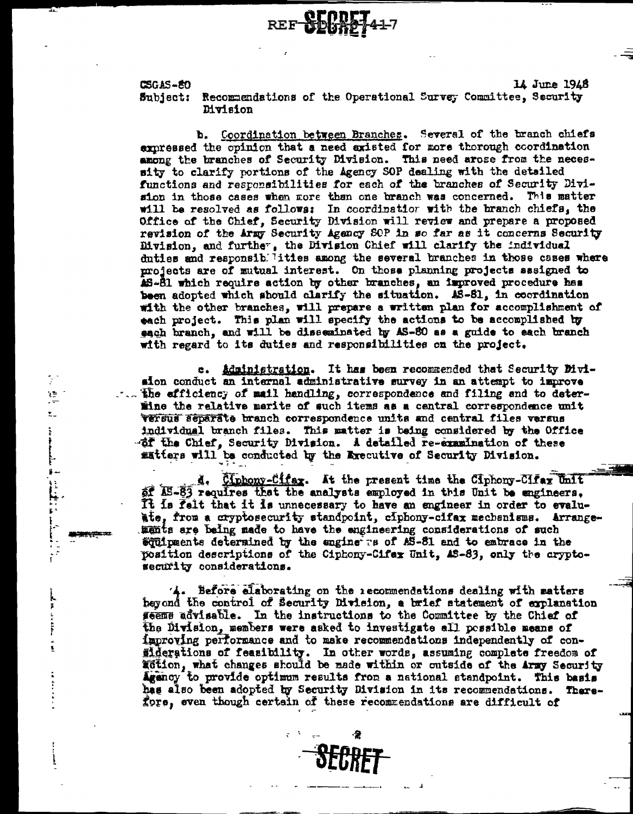CSGAS-80

 $\mathbb{R}^3$ 

ίĖ

t.

**Samilian School** 

ğ,

׀<br>ק

**Contract Contract** 

í

 $\ddot{\cdot}$ 

 $\ddot{ }$ 

Recommendations of the Operational Survey Committee, Security Subject: Division

14 June 1948

光門浴

Coordination between Branches. Several of the branch chiefs b. expressed the opinion that a need existed for more thorough coordination among the branches of Security Division. This need arose from the necessity to clarify portions of the Agency SOP dealing with the detailed functions and responsibilities for each of the branches of Security Division in those cases when more than one branch was concerned. This matter will be resolved as follows: In coordinatior with the branch chiefs, the Office of the Chief, Security Division will review and prepare a proposed revision of the Army Security Agency SOP in so far as it concerns Security Bivision, and further, the Division Chief will clarify the individual duties and responsibilities among the several branches in those cases where projects are of mutual interest. On those planning projects assigned to 45-81 which require action by other branches, an improved procedure has been adopted which should clarify the situation. AS-81, in coordination with the other branches, will prepare a written plan for accomplishment of each project. This plan will specify the actions to be accomplished by sach branch, and will be disseminated by AS-80 as a guide to each branch with regard to its duties and responsibilities on the project.

c. Administration. It has been recommended that Security Diviaion conduct an internal administrative survey in an attempt to improve ... the efficiency of mail handling, correspondence and filing and to deterthe the relative merits of such items as a central correspondence unit versus separate branch correspondence units and central files versus individual branch files. This matter is being considered by the Office off the Chief, Security Division. A detailed re-examination of these matters will be conducted by the Executive of Security Division.

d. Ciphony-Cifax. At the present time the Ciphony-Cifax Unit af IS-83 requires that the analysts employed in this Unit be engineers. It is felt that it is unnecessary to have an engineer in order to evalutte, from a cryptosecurity standpoint, ciphony-cifax mechanisms. Arrangements are being made to have the engineering considerations of such equipments determined by the engine rs of AS-81 and to embrace in the position descriptions of the Ciphony-Cifex Unit, AS-83, only the cryptosecurity considerations.

A. Before elaborating on the recommendations dealing with matters beyond the control of Security Division, a brief statement of explanation seems advisable. In the instructions to the Committee by the Chief of the Division, members were asked to investigate all possible means of improving performance and to make recommendations independently of conilderations of feasibility. In other words, assuming complete freedom of 16tion, what changes should be made within or cutside of the Army Security agancy to provide optimum results from a national standpoint. This basis has also been adopted by Security Division in its recommendations. Therefore, even though certain of these recommendations are difficult of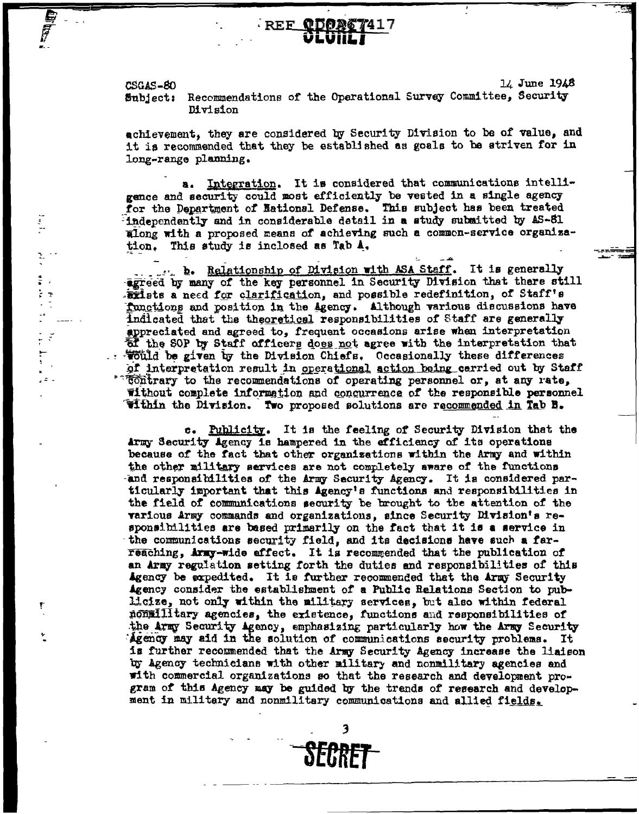$CSGAS-80$ 

 $\frac{1}{2}$ 

Î.

÷  $\overline{z}$ 

 $\ddot{\cdot}$ 

in.

 $14$  June  $1948$ 

Recommendations of the Operational Survey Committee, Security Subject: **Division** 

REE **MDON67417** 

achievement, they are considered by Security Division to be of value, and it is recommended that they be established as goals to be striven for in long-range planning.

Integration. It is considered that communications intelligence and security could most efficiently be vested in a single agency for the Department of National Defense. This subject has been treated independently and in considerable detail in a study submitted by AS-81 along with a proposed means of achieving such a common-service organization. This study is inclosed as Tab A.

b. Relationship of Division with ASA Staff. It is generally agreed by many of the key personnel in Security Division that there still Filsts a need for clarification, and possible redefinition, of Staff's functions and position in the Agency. Although various discussions have indicated that the theoretical responsibilities of Staff are generally appreciated and agreed to, frequent occasions arise when interpretation of the SOP by Staff officers does not agree with the interpretation that : Would be given by the Division Chiefs. Occasionally these differences of interpretation result in operational action being carried out by Staff a contrary to the recommendations of operating personnel or, at any rate, Without complete information and concurrence of the responsible personnel **Within the Division. Two proposed solutions are recommended in Tab B.** 

c. Publicity. It is the feeling of Security Division that the Army Security Agency is hampered in the efficiency of its operations because of the fact that other organizations within the Army and within the other military services are not completely aware of the functions and responsibilities of the Army Security Agency. It is considered particularly important that this Agency's functions and responsibilities in the field of communications security be brought to the attention of the various Army commands and organizations, since Security Division's responsibilities are based primarily on the fact that it is a service in the communications security field, and its decisions have such a far-Teaching, Army-wide affect. It is recommended that the publication of an Army regulation setting forth the duties and responsibilities of this Agency be expedited. It is further recommended that the Army Security Agency consider the establishment of a Public Relations Section to publicize, not only within the military services, but also within federal nommilitary agencies, the existence, functions and responsibilities of the Army Security Agency, emphasizing particularly how the Army Security Agency may aid in the solution of communications security problems. It is further recommended that the Army Security Agency increase the liaison by Agency technicians with other military and nonmilitary agencies and with commercial organizations so that the research and development program of this Agency may be guided by the trends of research and development in military and nonmilitary communications and allied fields.

3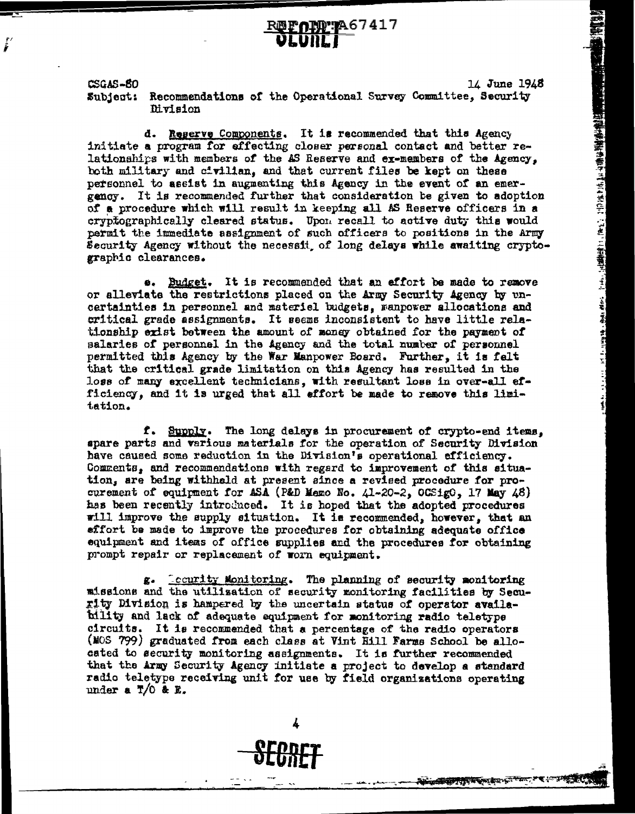## A67417

14 June 1948 CSGAS-BO Subject: Recommendations of the Operational Survey Committee, Security Division

d. Reserve Components. It is recommended that this Agency initiate a program for effecting closer personal contact and better relationships with members of the AS Reserve and ex-members of the Agency, both military and civilian, and that current files be kept on these personnel to assist in augmenting this Agency in the event of an emergency. It is recommended further that consideration be given to adoption of a procedure which will result in keeping all AS Reserve officers in a cryptographically cleared status. Upon recall to active duty this would permit the immediate assignment of such officers to positions in the Army Security Agency without the necessit of long delays while awaiting cryptographic clearances.

○ 1999年 - 1999年 - 1999年 - 1999年 - 1999年 - 1999年 - 1999年 - 1999年 - 1999年 - 1999年 - 1999年 - 1999年 - 1999年 - 1999年 - 1999年 - 1999年 - 1999年 - 1999年 - 1999年 - 1999年 - 1999年 - 1999年 - 1999年 - 1999年 - 1999年 - 1999年 - 1999年 - 1

s. Budget. It is recommended that an effort be made to remove or alleviate the restrictions placed on the Army Security Agency by uncertainties in personnel and materiel budgets, manpower allocations and critical grade assignments. It seems inconsistent to have little relationship exist between the amount of money obtained for the payment of salaries of personnel in the Agency and the total number of personnel permitted this Agency by the War Manpower Board. Further, it is felt that the critical grade limitation on this Agency has resulted in the loss of many excellent technicians, with resultant loss in over-all efficiency, and it is urged that all effort be made to remove this limitation.

f. Supply. The long delays in procurement of crypto-end items. spare parts and various materials for the operation of Security Division have caused some reduction in the Division's operational efficiency. Comments, and recommendations with regard to improvement of this situation, are being withheld at present since a revised procedure for procurement of equipment for ASA (P&D Memo No. 41-20-2, OCSigO, 17 May 48) has been recently introduced. It is hoped that the adopted procedures will improve the supply situation. It is recommended, however, that an effort be made to improve the procedures for obtaining adequate office equipment and items of office supplies and the procedures for obtaining prompt repair or replacement of worn equipment.

g. <u>Security Monitoring</u>. The planning of security monitoring missions and the utilisation of security monitoring facilities by Security Division is hampered by the uncertain status of operator availability and lack of adequate equipment for monitoring radio teletype circuits. It is recommended that a percentage of the radio operators (MOS 799) graduated from each class at Vint Eill Farms School be allocated to security monitoring assignments. It is further recommended that the Army Security Agency initiate a project to develop a standard radio teletype receiving unit for use by field organizations operating under a  $T/0$  & E.